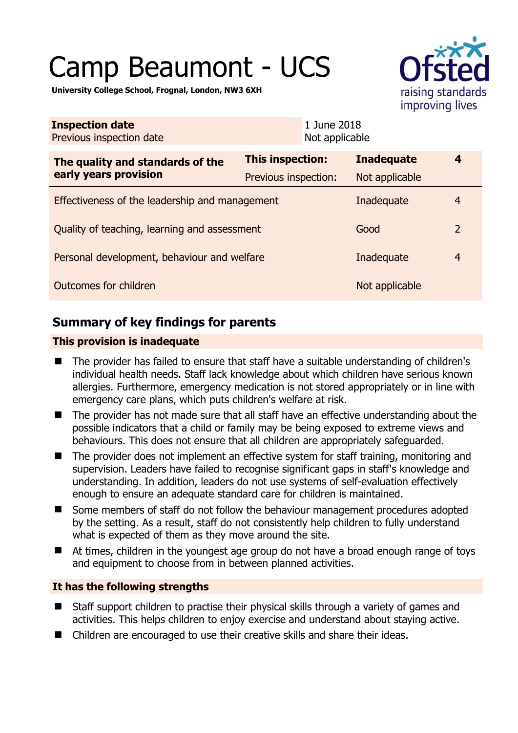# Camp Beaumont - UCS



**University College School, Frognal, London, NW3 6XH** 

| <b>Inspection date</b><br>Previous inspection date        | 1 June 2018<br>Not applicable |                   |   |
|-----------------------------------------------------------|-------------------------------|-------------------|---|
| The quality and standards of the<br>early years provision | This inspection:              | <b>Inadequate</b> | 4 |
|                                                           | Previous inspection:          | Not applicable    |   |
| Effectiveness of the leadership and management            | Inadequate                    | $\overline{4}$    |   |
| Quality of teaching, learning and assessment              | Good                          | $\overline{2}$    |   |
| Personal development, behaviour and welfare               | Inadequate                    | $\overline{4}$    |   |
| Outcomes for children                                     | Not applicable                |                   |   |

# **Summary of key findings for parents**

## **This provision is inadequate**

- The provider has failed to ensure that staff have a suitable understanding of children's individual health needs. Staff lack knowledge about which children have serious known allergies. Furthermore, emergency medication is not stored appropriately or in line with emergency care plans, which puts children's welfare at risk.
- The provider has not made sure that all staff have an effective understanding about the possible indicators that a child or family may be being exposed to extreme views and behaviours. This does not ensure that all children are appropriately safeguarded.
- The provider does not implement an effective system for staff training, monitoring and supervision. Leaders have failed to recognise significant gaps in staff's knowledge and understanding. In addition, leaders do not use systems of self-evaluation effectively enough to ensure an adequate standard care for children is maintained.
- Some members of staff do not follow the behaviour management procedures adopted by the setting. As a result, staff do not consistently help children to fully understand what is expected of them as they move around the site.
- At times, children in the youngest age group do not have a broad enough range of toys and equipment to choose from in between planned activities.

## **It has the following strengths**

- Staff support children to practise their physical skills through a variety of games and activities. This helps children to enjoy exercise and understand about staying active.
- Children are encouraged to use their creative skills and share their ideas.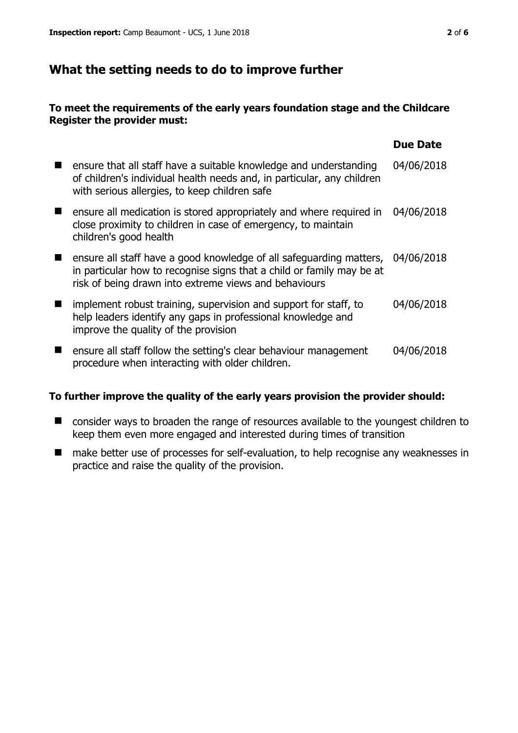# **What the setting needs to do to improve further**

#### **To meet the requirements of the early years foundation stage and the Childcare Register the provider must:**

|                                                                                                                                                                                                       | <b>Due Date</b> |
|-------------------------------------------------------------------------------------------------------------------------------------------------------------------------------------------------------|-----------------|
| ensure that all staff have a suitable knowledge and understanding<br>of children's individual health needs and, in particular, any children<br>with serious allergies, to keep children safe          | 04/06/2018      |
| ensure all medication is stored appropriately and where required in<br>close proximity to children in case of emergency, to maintain<br>children's good health                                        | 04/06/2018      |
| ensure all staff have a good knowledge of all safeguarding matters,<br>in particular how to recognise signs that a child or family may be at<br>risk of being drawn into extreme views and behaviours | 04/06/2018      |
| implement robust training, supervision and support for staff, to<br>help leaders identify any gaps in professional knowledge and<br>improve the quality of the provision                              | 04/06/2018      |
| ensure all staff follow the setting's clear behaviour management<br>procedure when interacting with older children.                                                                                   | 04/06/2018      |

#### **To further improve the quality of the early years provision the provider should:**

- consider ways to broaden the range of resources available to the youngest children to keep them even more engaged and interested during times of transition
- make better use of processes for self-evaluation, to help recognise any weaknesses in practice and raise the quality of the provision.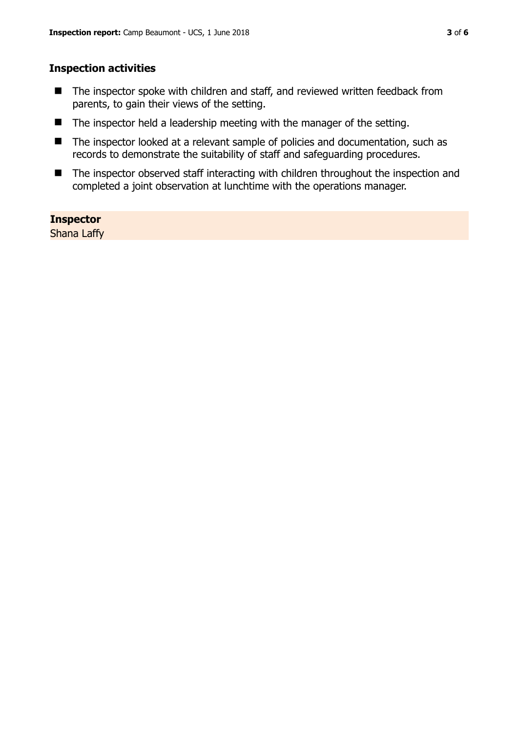#### **Inspection activities**

- The inspector spoke with children and staff, and reviewed written feedback from parents, to gain their views of the setting.
- The inspector held a leadership meeting with the manager of the setting.
- The inspector looked at a relevant sample of policies and documentation, such as records to demonstrate the suitability of staff and safeguarding procedures.
- The inspector observed staff interacting with children throughout the inspection and completed a joint observation at lunchtime with the operations manager.

#### **Inspector**

Shana Laffy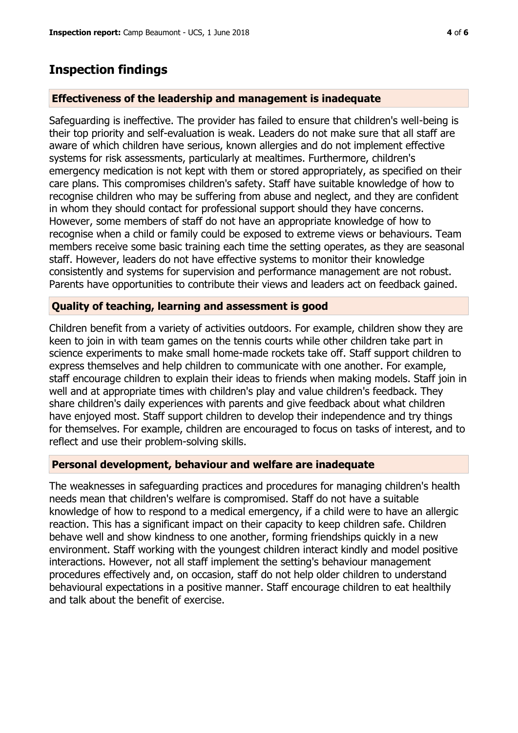## **Inspection findings**

#### **Effectiveness of the leadership and management is inadequate**

Safeguarding is ineffective. The provider has failed to ensure that children's well-being is their top priority and self-evaluation is weak. Leaders do not make sure that all staff are aware of which children have serious, known allergies and do not implement effective systems for risk assessments, particularly at mealtimes. Furthermore, children's emergency medication is not kept with them or stored appropriately, as specified on their care plans. This compromises children's safety. Staff have suitable knowledge of how to recognise children who may be suffering from abuse and neglect, and they are confident in whom they should contact for professional support should they have concerns. However, some members of staff do not have an appropriate knowledge of how to recognise when a child or family could be exposed to extreme views or behaviours. Team members receive some basic training each time the setting operates, as they are seasonal staff. However, leaders do not have effective systems to monitor their knowledge consistently and systems for supervision and performance management are not robust. Parents have opportunities to contribute their views and leaders act on feedback gained.

#### **Quality of teaching, learning and assessment is good**

Children benefit from a variety of activities outdoors. For example, children show they are keen to join in with team games on the tennis courts while other children take part in science experiments to make small home-made rockets take off. Staff support children to express themselves and help children to communicate with one another. For example, staff encourage children to explain their ideas to friends when making models. Staff join in well and at appropriate times with children's play and value children's feedback. They share children's daily experiences with parents and give feedback about what children have enjoyed most. Staff support children to develop their independence and try things for themselves. For example, children are encouraged to focus on tasks of interest, and to reflect and use their problem-solving skills.

#### **Personal development, behaviour and welfare are inadequate**

The weaknesses in safeguarding practices and procedures for managing children's health needs mean that children's welfare is compromised. Staff do not have a suitable knowledge of how to respond to a medical emergency, if a child were to have an allergic reaction. This has a significant impact on their capacity to keep children safe. Children behave well and show kindness to one another, forming friendships quickly in a new environment. Staff working with the youngest children interact kindly and model positive interactions. However, not all staff implement the setting's behaviour management procedures effectively and, on occasion, staff do not help older children to understand behavioural expectations in a positive manner. Staff encourage children to eat healthily and talk about the benefit of exercise.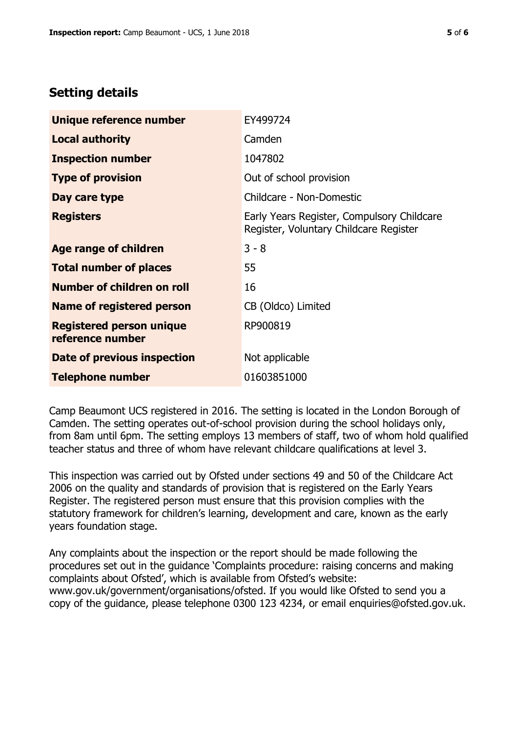# **Setting details**

| Unique reference number                             | EY499724                                                                             |
|-----------------------------------------------------|--------------------------------------------------------------------------------------|
| <b>Local authority</b>                              | Camden                                                                               |
| <b>Inspection number</b>                            | 1047802                                                                              |
| <b>Type of provision</b>                            | Out of school provision                                                              |
| Day care type                                       | Childcare - Non-Domestic                                                             |
| <b>Registers</b>                                    | Early Years Register, Compulsory Childcare<br>Register, Voluntary Childcare Register |
| Age range of children                               | $3 - 8$                                                                              |
| <b>Total number of places</b>                       | 55                                                                                   |
| Number of children on roll                          | 16                                                                                   |
| Name of registered person                           | CB (Oldco) Limited                                                                   |
| <b>Registered person unique</b><br>reference number | RP900819                                                                             |
| Date of previous inspection                         | Not applicable                                                                       |
| Telephone number                                    | 01603851000                                                                          |

Camp Beaumont UCS registered in 2016. The setting is located in the London Borough of Camden. The setting operates out-of-school provision during the school holidays only, from 8am until 6pm. The setting employs 13 members of staff, two of whom hold qualified teacher status and three of whom have relevant childcare qualifications at level 3.

This inspection was carried out by Ofsted under sections 49 and 50 of the Childcare Act 2006 on the quality and standards of provision that is registered on the Early Years Register. The registered person must ensure that this provision complies with the statutory framework for children's learning, development and care, known as the early years foundation stage.

Any complaints about the inspection or the report should be made following the procedures set out in the guidance 'Complaints procedure: raising concerns and making complaints about Ofsted', which is available from Ofsted's website: www.gov.uk/government/organisations/ofsted. If you would like Ofsted to send you a copy of the guidance, please telephone 0300 123 4234, or email enquiries@ofsted.gov.uk.